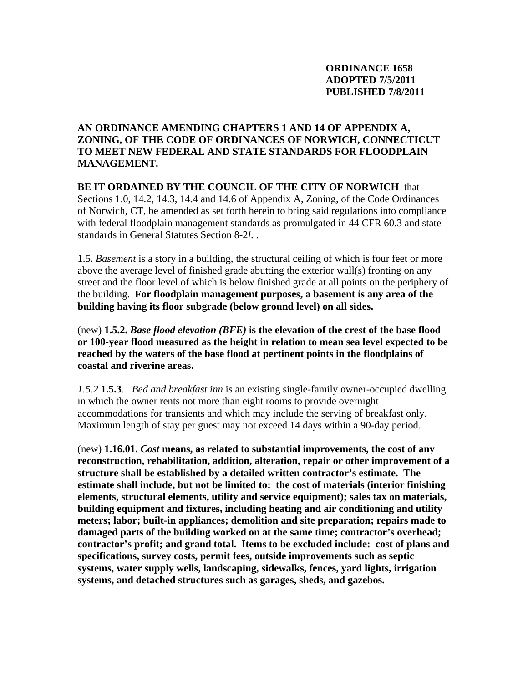# **AN ORDINANCE AMENDING CHAPTERS 1 AND 14 OF APPENDIX A, ZONING, OF THE CODE OF ORDINANCES OF NORWICH, CONNECTICUT TO MEET NEW FEDERAL AND STATE STANDARDS FOR FLOODPLAIN MANAGEMENT.**

**BE IT ORDAINED BY THE COUNCIL OF THE CITY OF NORWICH** that Sections 1.0, 14.2, 14.3, 14.4 and 14.6 of Appendix A, Zoning, of the Code Ordinances of Norwich, CT, be amended as set forth herein to bring said regulations into compliance with federal floodplain management standards as promulgated in 44 CFR 60.3 and state standards in General Statutes Section 8-2*l*. .

1.5. *Basement* is a story in a building, the structural ceiling of which is four feet or more above the average level of finished grade abutting the exterior wall(s) fronting on any street and the floor level of which is below finished grade at all points on the periphery of the building. **For floodplain management purposes, a basement is any area of the building having its floor subgrade (below ground level) on all sides.** 

(new) **1.5.2.** *Base flood elevation (BFE)* **is the elevation of the crest of the base flood or 100-year flood measured as the height in relation to mean sea level expected to be reached by the waters of the base flood at pertinent points in the floodplains of coastal and riverine areas.** 

*1.5.2* **1.5.3**. *Bed and breakfast inn* is an existing single-family owner-occupied dwelling in which the owner rents not more than eight rooms to provide overnight accommodations for transients and which may include the serving of breakfast only. Maximum length of stay per guest may not exceed 14 days within a 90-day period.

(new) **1.16.01.** *Cost* **means, as related to substantial improvements, the cost of any reconstruction, rehabilitation, addition, alteration, repair or other improvement of a structure shall be established by a detailed written contractor's estimate. The estimate shall include, but not be limited to: the cost of materials (interior finishing elements, structural elements, utility and service equipment); sales tax on materials, building equipment and fixtures, including heating and air conditioning and utility meters; labor; built-in appliances; demolition and site preparation; repairs made to damaged parts of the building worked on at the same time; contractor's overhead; contractor's profit; and grand total. Items to be excluded include: cost of plans and specifications, survey costs, permit fees, outside improvements such as septic systems, water supply wells, landscaping, sidewalks, fences, yard lights, irrigation systems, and detached structures such as garages, sheds, and gazebos.**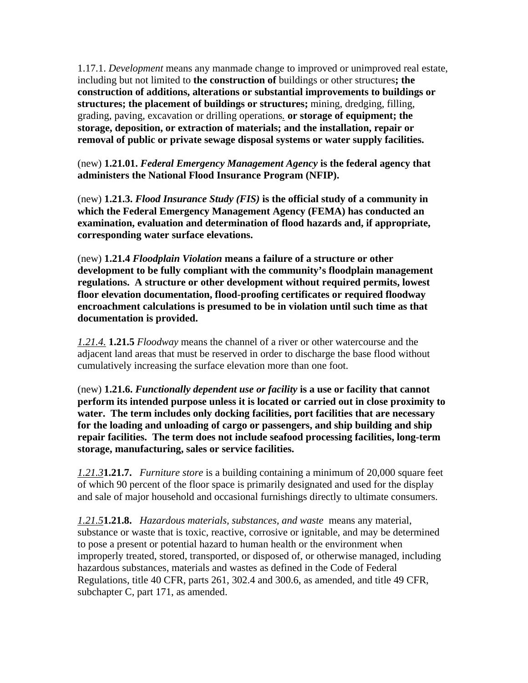1.17.1. *Development* means any manmade change to improved or unimproved real estate, including but not limited to **the construction of** buildings or other structures**; the construction of additions, alterations or substantial improvements to buildings or structures; the placement of buildings or structures;** mining, dredging, filling, grading, paving, excavation or drilling operations*.* **or storage of equipment; the storage, deposition, or extraction of materials; and the installation, repair or removal of public or private sewage disposal systems or water supply facilities.** 

(new) **1.21.01.** *Federal Emergency Management Agency* **is the federal agency that administers the National Flood Insurance Program (NFIP).** 

(new) **1.21.3.** *Flood Insurance Study (FIS)* **is the official study of a community in which the Federal Emergency Management Agency (FEMA) has conducted an examination, evaluation and determination of flood hazards and, if appropriate, corresponding water surface elevations.** 

(new) **1.21.4** *Floodplain Violation* **means a failure of a structure or other development to be fully compliant with the community's floodplain management regulations. A structure or other development without required permits, lowest floor elevation documentation, flood-proofing certificates or required floodway encroachment calculations is presumed to be in violation until such time as that documentation is provided.** 

*1.21.4.* **1.21.5** *Floodway* means the channel of a river or other watercourse and the adjacent land areas that must be reserved in order to discharge the base flood without cumulatively increasing the surface elevation more than one foot.

(new) **1.21.6.** *Functionally dependent use or facility* **is a use or facility that cannot perform its intended purpose unless it is located or carried out in close proximity to water. The term includes only docking facilities, port facilities that are necessary for the loading and unloading of cargo or passengers, and ship building and ship repair facilities. The term does not include seafood processing facilities, long-term storage, manufacturing, sales or service facilities.** 

*1.21.3***1.21.7.** *Furniture store* is a building containing a minimum of 20,000 square feet of which 90 percent of the floor space is primarily designated and used for the display and sale of major household and occasional furnishings directly to ultimate consumers.

*1.21.5***1.21.8.** *Hazardous materials, substances, and waste* means any material, substance or waste that is toxic, reactive, corrosive or ignitable, and may be determined to pose a present or potential hazard to human health or the environment when improperly treated, stored, transported, or disposed of, or otherwise managed, including hazardous substances, materials and wastes as defined in the Code of Federal Regulations, title 40 CFR, parts 261, 302.4 and 300.6, as amended, and title 49 CFR, subchapter C, part 171, as amended.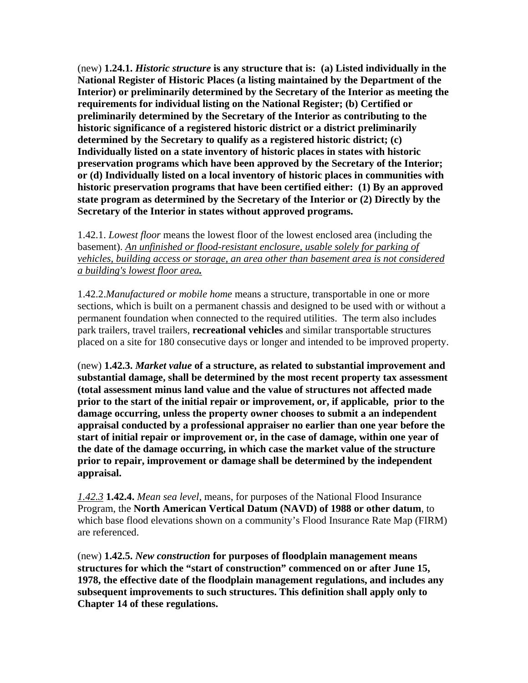(new) **1.24.1.** *Historic structure* **is any structure that is: (a) Listed individually in the National Register of Historic Places (a listing maintained by the Department of the Interior) or preliminarily determined by the Secretary of the Interior as meeting the requirements for individual listing on the National Register; (b) Certified or preliminarily determined by the Secretary of the Interior as contributing to the historic significance of a registered historic district or a district preliminarily determined by the Secretary to qualify as a registered historic district; (c) Individually listed on a state inventory of historic places in states with historic preservation programs which have been approved by the Secretary of the Interior; or (d) Individually listed on a local inventory of historic places in communities with historic preservation programs that have been certified either: (1) By an approved state program as determined by the Secretary of the Interior or (2) Directly by the Secretary of the Interior in states without approved programs.** 

1.42.1. *Lowest floor* means the lowest floor of the lowest enclosed area (including the basement). *An unfinished or flood-resistant enclosure, usable solely for parking of vehicles, building access or storage, an area other than basement area is not considered a building's lowest floor area.*

1.42.2.*Manufactured or mobile home* means a structure, transportable in one or more sections, which is built on a permanent chassis and designed to be used with or without a permanent foundation when connected to the required utilities. The term also includes park trailers, travel trailers, **recreational vehicles** and similar transportable structures placed on a site for 180 consecutive days or longer and intended to be improved property.

(new) **1.42.3.** *Market value* **of a structure, as related to substantial improvement and substantial damage, shall be determined by the most recent property tax assessment (total assessment minus land value and the value of structures not affected made prior to the start of the initial repair or improvement, or, if applicable, prior to the damage occurring, unless the property owner chooses to submit a an independent appraisal conducted by a professional appraiser no earlier than one year before the start of initial repair or improvement or, in the case of damage, within one year of the date of the damage occurring, in which case the market value of the structure prior to repair, improvement or damage shall be determined by the independent appraisal.** 

*1.42.3* **1.42.4.** *Mean sea level*, means, for purposes of the National Flood Insurance Program, the **North American Vertical Datum (NAVD) of 1988 or other datum**, to which base flood elevations shown on a community's Flood Insurance Rate Map (FIRM) are referenced.

(new) **1.42.5.** *New construction* **for purposes of floodplain management means structures for which the "start of construction" commenced on or after June 15, 1978, the effective date of the floodplain management regulations, and includes any subsequent improvements to such structures. This definition shall apply only to Chapter 14 of these regulations.**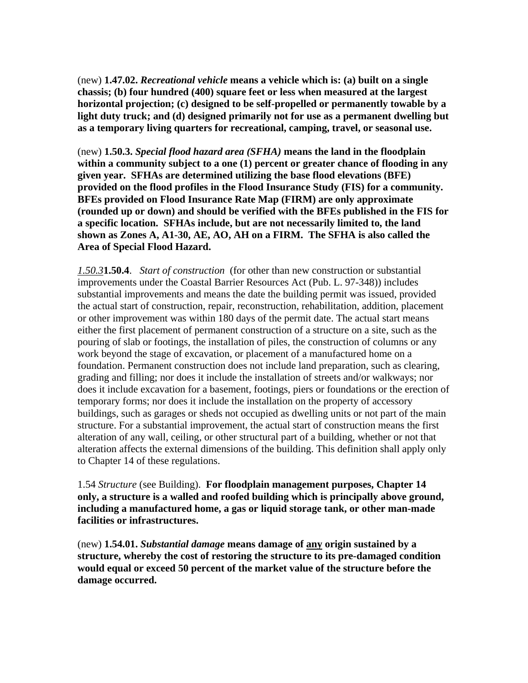(new) **1.47.02.** *Recreational vehicle* **means a vehicle which is: (a) built on a single chassis; (b) four hundred (400) square feet or less when measured at the largest horizontal projection; (c) designed to be self-propelled or permanently towable by a light duty truck; and (d) designed primarily not for use as a permanent dwelling but as a temporary living quarters for recreational, camping, travel, or seasonal use.** 

(new) **1.50.3.** *Special flood hazard area (SFHA)* **means the land in the floodplain within a community subject to a one (1) percent or greater chance of flooding in any given year. SFHAs are determined utilizing the base flood elevations (BFE) provided on the flood profiles in the Flood Insurance Study (FIS) for a community. BFEs provided on Flood Insurance Rate Map (FIRM) are only approximate (rounded up or down) and should be verified with the BFEs published in the FIS for a specific location. SFHAs include, but are not necessarily limited to, the land shown as Zones A, A1-30, AE, AO, AH on a FIRM. The SFHA is also called the Area of Special Flood Hazard.** 

*1.50.3***1.50.4**. *Start of construction* (for other than new construction or substantial improvements under the Coastal Barrier Resources Act (Pub. L. 97-348)) includes substantial improvements and means the date the building permit was issued, provided the actual start of construction, repair, reconstruction, rehabilitation, addition, placement or other improvement was within 180 days of the permit date. The actual start means either the first placement of permanent construction of a structure on a site, such as the pouring of slab or footings, the installation of piles, the construction of columns or any work beyond the stage of excavation, or placement of a manufactured home on a foundation. Permanent construction does not include land preparation, such as clearing, grading and filling; nor does it include the installation of streets and/or walkways; nor does it include excavation for a basement, footings, piers or foundations or the erection of temporary forms; nor does it include the installation on the property of accessory buildings, such as garages or sheds not occupied as dwelling units or not part of the main structure. For a substantial improvement, the actual start of construction means the first alteration of any wall, ceiling, or other structural part of a building, whether or not that alteration affects the external dimensions of the building. This definition shall apply only to Chapter 14 of these regulations.

1.54 *Structure* (see Building). **For floodplain management purposes, Chapter 14 only, a structure is a walled and roofed building which is principally above ground, including a manufactured home, a gas or liquid storage tank, or other man-made facilities or infrastructures.** 

(new) **1.54.01.** *Substantial damage* **means damage of any origin sustained by a structure, whereby the cost of restoring the structure to its pre-damaged condition would equal or exceed 50 percent of the market value of the structure before the damage occurred.**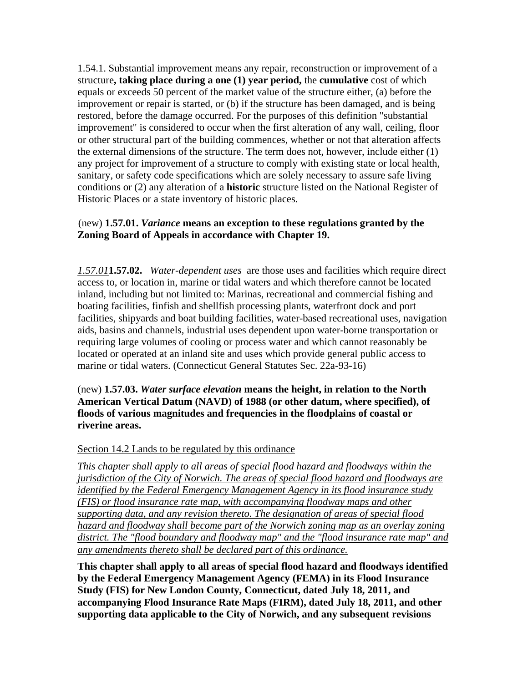1.54.1. Substantial improvement means any repair, reconstruction or improvement of a structure**, taking place during a one (1) year period,** the **cumulative** cost of which equals or exceeds 50 percent of the market value of the structure either, (a) before the improvement or repair is started, or (b) if the structure has been damaged, and is being restored, before the damage occurred. For the purposes of this definition "substantial improvement" is considered to occur when the first alteration of any wall, ceiling, floor or other structural part of the building commences, whether or not that alteration affects the external dimensions of the structure. The term does not, however, include either (1) any project for improvement of a structure to comply with existing state or local health, sanitary, or safety code specifications which are solely necessary to assure safe living conditions or (2) any alteration of a **historic** structure listed on the National Register of Historic Places or a state inventory of historic places.

## (new) **1.57.01.** *Variance* **means an exception to these regulations granted by the Zoning Board of Appeals in accordance with Chapter 19.**

*1.57.01***1.57.02.** *Water-dependent uses* are those uses and facilities which require direct access to, or location in, marine or tidal waters and which therefore cannot be located inland, including but not limited to: Marinas, recreational and commercial fishing and boating facilities, finfish and shellfish processing plants, waterfront dock and port facilities, shipyards and boat building facilities, water-based recreational uses, navigation aids, basins and channels, industrial uses dependent upon water-borne transportation or requiring large volumes of cooling or process water and which cannot reasonably be located or operated at an inland site and uses which provide general public access to marine or tidal waters. (Connecticut General Statutes Sec. 22a-93-16)

(new) **1.57.03.** *Water surface elevation* **means the height, in relation to the North American Vertical Datum (NAVD) of 1988 (or other datum, where specified), of floods of various magnitudes and frequencies in the floodplains of coastal or riverine areas.** 

### Section 14.2 Lands to be regulated by this ordinance

*This chapter shall apply to all areas of special flood hazard and floodways within the jurisdiction of the City of Norwich. The areas of special flood hazard and floodways are identified by the Federal Emergency Management Agency in its flood insurance study (FIS) or flood insurance rate map, with accompanying floodway maps and other supporting data, and any revision thereto. The designation of areas of special flood hazard and floodway shall become part of the Norwich zoning map as an overlay zoning district. The "flood boundary and floodway map" and the "flood insurance rate map" and any amendments thereto shall be declared part of this ordinance.*

**This chapter shall apply to all areas of special flood hazard and floodways identified by the Federal Emergency Management Agency (FEMA) in its Flood Insurance Study (FIS) for New London County, Connecticut, dated July 18, 2011, and accompanying Flood Insurance Rate Maps (FIRM), dated July 18, 2011, and other supporting data applicable to the City of Norwich, and any subsequent revisions**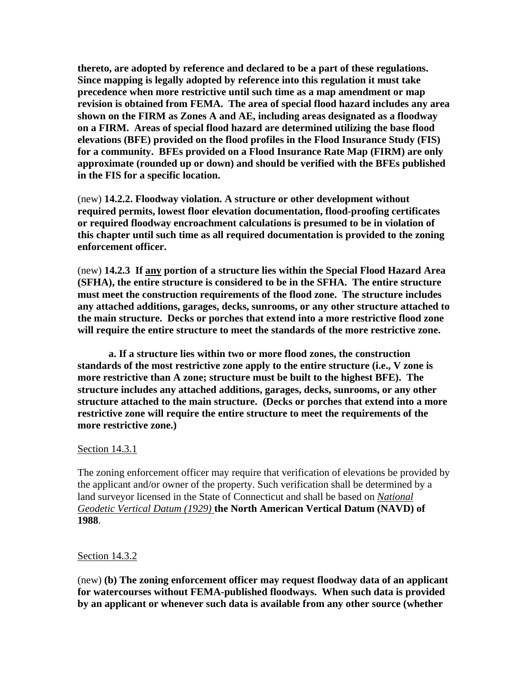**thereto, are adopted by reference and declared to be a part of these regulations. Since mapping is legally adopted by reference into this regulation it must take precedence when more restrictive until such time as a map amendment or map revision is obtained from FEMA. The area of special flood hazard includes any area shown on the FIRM as Zones A and AE, including areas designated as a floodway on a FIRM. Areas of special flood hazard are determined utilizing the base flood elevations (BFE) provided on the flood profiles in the Flood Insurance Study (FIS) for a community. BFEs provided on a Flood Insurance Rate Map (FIRM) are only approximate (rounded up or down) and should be verified with the BFEs published in the FIS for a specific location.** 

(new) **14.2.2. Floodway violation. A structure or other development without required permits, lowest floor elevation documentation, flood-proofing certificates or required floodway encroachment calculations is presumed to be in violation of this chapter until such time as all required documentation is provided to the zoning enforcement officer.** 

(new) **14.2.3 If any portion of a structure lies within the Special Flood Hazard Area (SFHA), the entire structure is considered to be in the SFHA. The entire structure must meet the construction requirements of the flood zone. The structure includes any attached additions, garages, decks, sunrooms, or any other structure attached to the main structure. Decks or porches that extend into a more restrictive flood zone will require the entire structure to meet the standards of the more restrictive zone.** 

 **a. If a structure lies within two or more flood zones, the construction standards of the most restrictive zone apply to the entire structure (i.e., V zone is more restrictive than A zone; structure must be built to the highest BFE). The structure includes any attached additions, garages, decks, sunrooms, or any other structure attached to the main structure. (Decks or porches that extend into a more restrictive zone will require the entire structure to meet the requirements of the more restrictive zone.)** 

#### Section 14.3.1

The zoning enforcement officer may require that verification of elevations be provided by the applicant and/or owner of the property. Such verification shall be determined by a land surveyor licensed in the State of Connecticut and shall be based on *National Geodetic Vertical Datum (1929)* **the North American Vertical Datum (NAVD) of 1988**.

### Section 14.3.2

(new) **(b) The zoning enforcement officer may request floodway data of an applicant for watercourses without FEMA-published floodways. When such data is provided by an applicant or whenever such data is available from any other source (whether**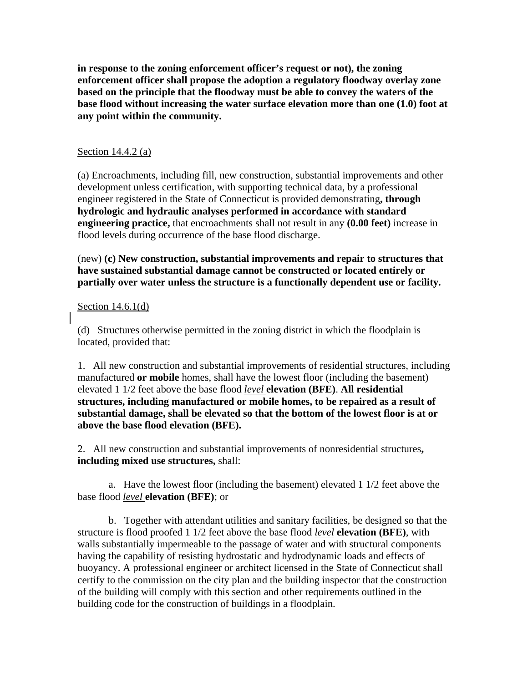**in response to the zoning enforcement officer's request or not), the zoning enforcement officer shall propose the adoption a regulatory floodway overlay zone based on the principle that the floodway must be able to convey the waters of the base flood without increasing the water surface elevation more than one (1.0) foot at any point within the community.** 

### Section 14.4.2 (a)

(a) Encroachments, including fill, new construction, substantial improvements and other development unless certification, with supporting technical data, by a professional engineer registered in the State of Connecticut is provided demonstrating**, through hydrologic and hydraulic analyses performed in accordance with standard engineering practice,** that encroachments shall not result in any **(0.00 feet)** increase in flood levels during occurrence of the base flood discharge.

(new) **(c) New construction, substantial improvements and repair to structures that have sustained substantial damage cannot be constructed or located entirely or partially over water unless the structure is a functionally dependent use or facility.** 

### Section 14.6.1(d)

(d) Structures otherwise permitted in the zoning district in which the floodplain is located, provided that:

1. All new construction and substantial improvements of residential structures, including manufactured **or mobile** homes, shall have the lowest floor (including the basement) elevated 1 1/2 feet above the base flood *level* **elevation (BFE)**. **All residential structures, including manufactured or mobile homes, to be repaired as a result of substantial damage, shall be elevated so that the bottom of the lowest floor is at or above the base flood elevation (BFE).**

2. All new construction and substantial improvements of nonresidential structures**, including mixed use structures,** shall:

 a. Have the lowest floor (including the basement) elevated 1 1/2 feet above the base flood *level* **elevation (BFE)**; or

 b. Together with attendant utilities and sanitary facilities, be designed so that the structure is flood proofed 1 1/2 feet above the base flood *level* **elevation (BFE)**, with walls substantially impermeable to the passage of water and with structural components having the capability of resisting hydrostatic and hydrodynamic loads and effects of buoyancy. A professional engineer or architect licensed in the State of Connecticut shall certify to the commission on the city plan and the building inspector that the construction of the building will comply with this section and other requirements outlined in the building code for the construction of buildings in a floodplain.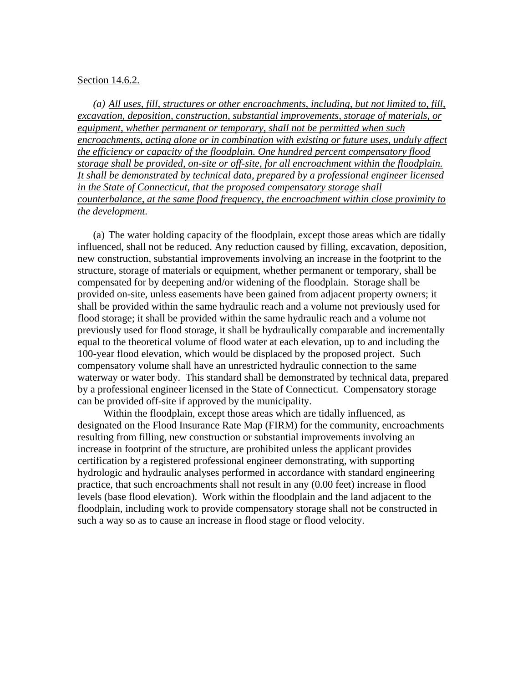#### Section 14.6.2.

*(a) All uses, fill, structures or other encroachments, including, but not limited to, fill, excavation, deposition, construction, substantial improvements, storage of materials, or equipment, whether permanent or temporary, shall not be permitted when such encroachments, acting alone or in combination with existing or future uses, unduly affect the efficiency or capacity of the floodplain. One hundred percent compensatory flood storage shall be provided, on-site or off-site, for all encroachment within the floodplain. It shall be demonstrated by technical data, prepared by a professional engineer licensed in the State of Connecticut, that the proposed compensatory storage shall counterbalance, at the same flood frequency, the encroachment within close proximity to the development.* 

(a) The water holding capacity of the floodplain, except those areas which are tidally influenced, shall not be reduced. Any reduction caused by filling, excavation, deposition, new construction, substantial improvements involving an increase in the footprint to the structure, storage of materials or equipment, whether permanent or temporary, shall be compensated for by deepening and/or widening of the floodplain. Storage shall be provided on-site, unless easements have been gained from adjacent property owners; it shall be provided within the same hydraulic reach and a volume not previously used for flood storage; it shall be provided within the same hydraulic reach and a volume not previously used for flood storage, it shall be hydraulically comparable and incrementally equal to the theoretical volume of flood water at each elevation, up to and including the 100-year flood elevation, which would be displaced by the proposed project. Such compensatory volume shall have an unrestricted hydraulic connection to the same waterway or water body. This standard shall be demonstrated by technical data, prepared by a professional engineer licensed in the State of Connecticut. Compensatory storage can be provided off-site if approved by the municipality.

 Within the floodplain, except those areas which are tidally influenced, as designated on the Flood Insurance Rate Map (FIRM) for the community, encroachments resulting from filling, new construction or substantial improvements involving an increase in footprint of the structure, are prohibited unless the applicant provides certification by a registered professional engineer demonstrating, with supporting hydrologic and hydraulic analyses performed in accordance with standard engineering practice, that such encroachments shall not result in any (0.00 feet) increase in flood levels (base flood elevation). Work within the floodplain and the land adjacent to the floodplain, including work to provide compensatory storage shall not be constructed in such a way so as to cause an increase in flood stage or flood velocity.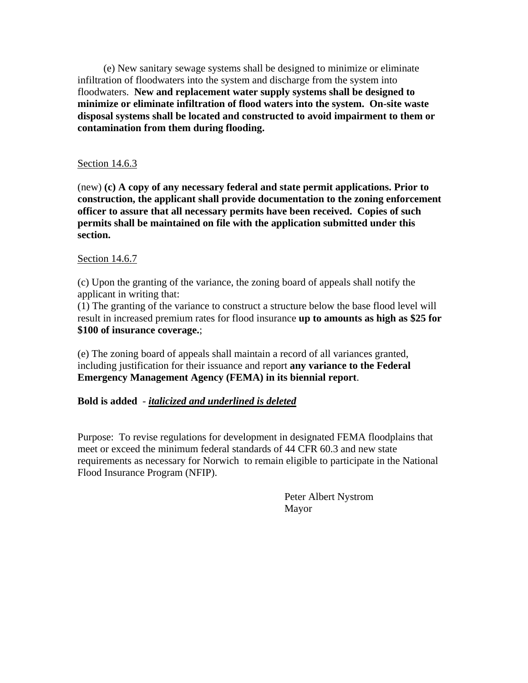(e) New sanitary sewage systems shall be designed to minimize or eliminate infiltration of floodwaters into the system and discharge from the system into floodwaters. **New and replacement water supply systems shall be designed to minimize or eliminate infiltration of flood waters into the system. On-site waste disposal systems shall be located and constructed to avoid impairment to them or contamination from them during flooding.** 

### Section 14.6.3

(new) **(c) A copy of any necessary federal and state permit applications. Prior to construction, the applicant shall provide documentation to the zoning enforcement officer to assure that all necessary permits have been received. Copies of such permits shall be maintained on file with the application submitted under this section.** 

## Section 14.6.7

(c) Upon the granting of the variance, the zoning board of appeals shall notify the applicant in writing that:

(1) The granting of the variance to construct a structure below the base flood level will result in increased premium rates for flood insurance **up to amounts as high as \$25 for \$100 of insurance coverage.**;

(e) The zoning board of appeals shall maintain a record of all variances granted, including justification for their issuance and report **any variance to the Federal Emergency Management Agency (FEMA) in its biennial report**.

# **Bold is added** - *italicized and underlined is deleted*

Purpose: To revise regulations for development in designated FEMA floodplains that meet or exceed the minimum federal standards of 44 CFR 60.3 and new state requirements as necessary for Norwich to remain eligible to participate in the National Flood Insurance Program (NFIP).

> Peter Albert Nystrom Mayor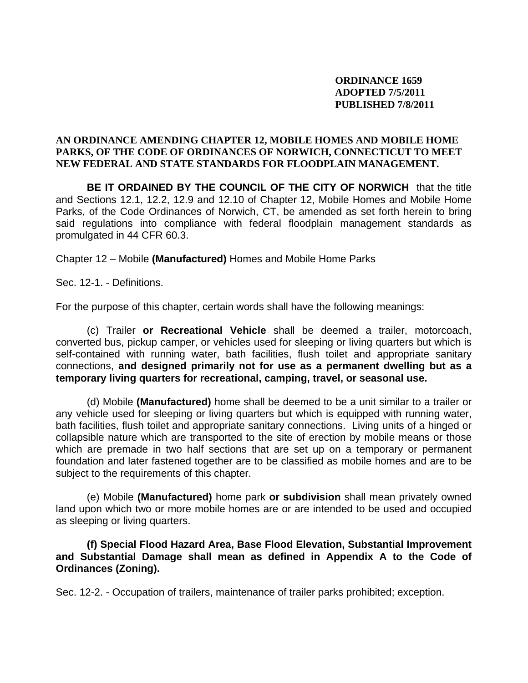# **ORDINANCE 1659 ADOPTED 7/5/2011 PUBLISHED 7/8/2011**

## **AN ORDINANCE AMENDING CHAPTER 12, MOBILE HOMES AND MOBILE HOME PARKS, OF THE CODE OF ORDINANCES OF NORWICH, CONNECTICUT TO MEET NEW FEDERAL AND STATE STANDARDS FOR FLOODPLAIN MANAGEMENT.**

**BE IT ORDAINED BY THE COUNCIL OF THE CITY OF NORWICH** that the title and Sections 12.1, 12.2, 12.9 and 12.10 of Chapter 12, Mobile Homes and Mobile Home Parks, of the Code Ordinances of Norwich, CT, be amended as set forth herein to bring said regulations into compliance with federal floodplain management standards as promulgated in 44 CFR 60.3.

Chapter 12 – Mobile **(Manufactured)** Homes and Mobile Home Parks

Sec. 12-1. - Definitions.

For the purpose of this chapter, certain words shall have the following meanings:

(c) Trailer **or Recreational Vehicle** shall be deemed a trailer, motorcoach, converted bus, pickup camper, or vehicles used for sleeping or living quarters but which is self-contained with running water, bath facilities, flush toilet and appropriate sanitary connections, **and designed primarily not for use as a permanent dwelling but as a temporary living quarters for recreational, camping, travel, or seasonal use.** 

(d) Mobile **(Manufactured)** home shall be deemed to be a unit similar to a trailer or any vehicle used for sleeping or living quarters but which is equipped with running water, bath facilities, flush toilet and appropriate sanitary connections. Living units of a hinged or collapsible nature which are transported to the site of erection by mobile means or those which are premade in two half sections that are set up on a temporary or permanent foundation and later fastened together are to be classified as mobile homes and are to be subject to the requirements of this chapter.

(e) Mobile **(Manufactured)** home park **or subdivision** shall mean privately owned land upon which two or more mobile homes are or are intended to be used and occupied as sleeping or living quarters.

**(f) Special Flood Hazard Area, Base Flood Elevation, Substantial Improvement and Substantial Damage shall mean as defined in Appendix A to the Code of Ordinances (Zoning).** 

Sec. 12-2. - Occupation of trailers, maintenance of trailer parks prohibited; exception.